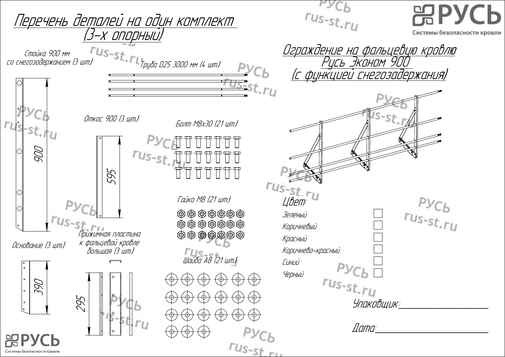